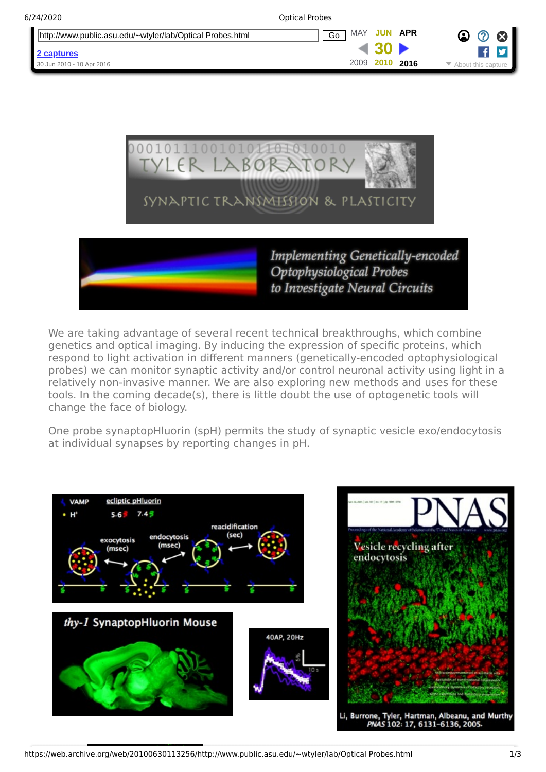| 6/24/2020                                                 | <b>Optical Probes</b> |                              |
|-----------------------------------------------------------|-----------------------|------------------------------|
| http://www.public.asu.edu/~wtyler/lab/Optical Probes.html | MAY<br>JUN APR<br>Go  | ☎<br>$\bm{\mathcal{C}}$<br>⊗ |
| 2 captures                                                |                       |                              |
| 30 Jun 2010 - 10 Apr 2016                                 | 2009<br>2010<br>2016  | About this capture           |



We are taking advantage of several recent technical breakthroughs, which combine genetics and optical imaging. By inducing the expression of specific proteins, which respond to light activation in different manners (genetically-encoded optophysiological probes) we can monitor synaptic activity and/or control neuronal activity using light in a relatively non-invasive manner. We are also exploring new methods and uses for these tools. In the coming decade(s), there is little doubt the use of optogenetic tools will change the face of biology.

One probe synaptopHluorin (spH) permits the study of synaptic vesicle exo/endocytosis at individual synapses by reporting changes in pH.

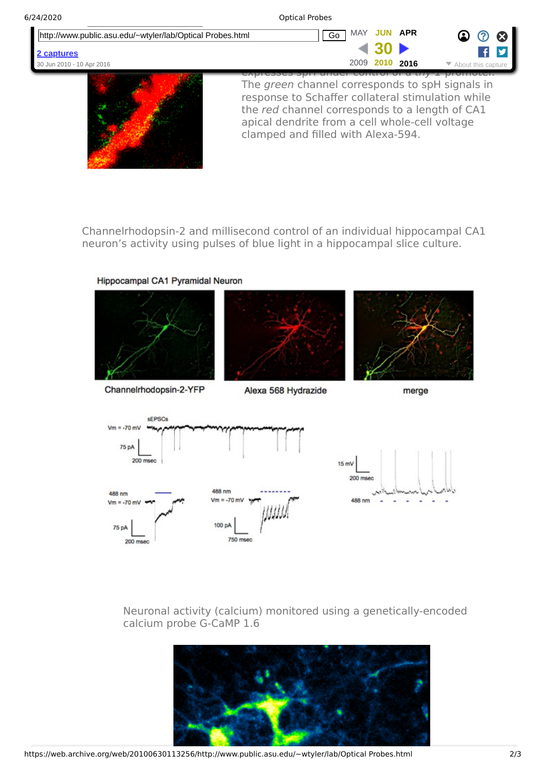| 6/24/2020                                                 | <b>Optical Probes</b>                                                                                                                                                                                    |
|-----------------------------------------------------------|----------------------------------------------------------------------------------------------------------------------------------------------------------------------------------------------------------|
| http://www.public.asu.edu/~wtyler/lab/Optical Probes.html | APR<br><b>MAY</b><br>-JUN-<br>Go<br>- 63<br>(2)                                                                                                                                                          |
| 2 captures                                                |                                                                                                                                                                                                          |
| 30 Jun 2010 - 10 Apr 2016                                 | 2010 2016<br>2009<br>$\blacktriangleright$ About this capture                                                                                                                                            |
|                                                           | The green channel corresponds to spH signals in<br>response to Schaffer collateral stimulation while<br>the red channel corresponds to a length of CA1<br>apical dendrite from a cell whole-cell voltage |

Channelrhodopsin-2 and millisecond control of an individual hippocampal CA1 neuron's activity using pulses of blue light in a hippocampal slice culture.

clamped and filled with Alexa-594.

Hippocampal CA1 Pyramidal Neuron







Channelrhodopsin-2-YFP

 $Vm = -70 mV$ 

75 pA

200 msec

Alexa 568 Hydrazide

улил.

merge



 $Vm = -70$  mV

100 pA

750 msec



Neuronal activity (calcium) monitored using a genetically-encoded calcium probe G-CaMP 1.6